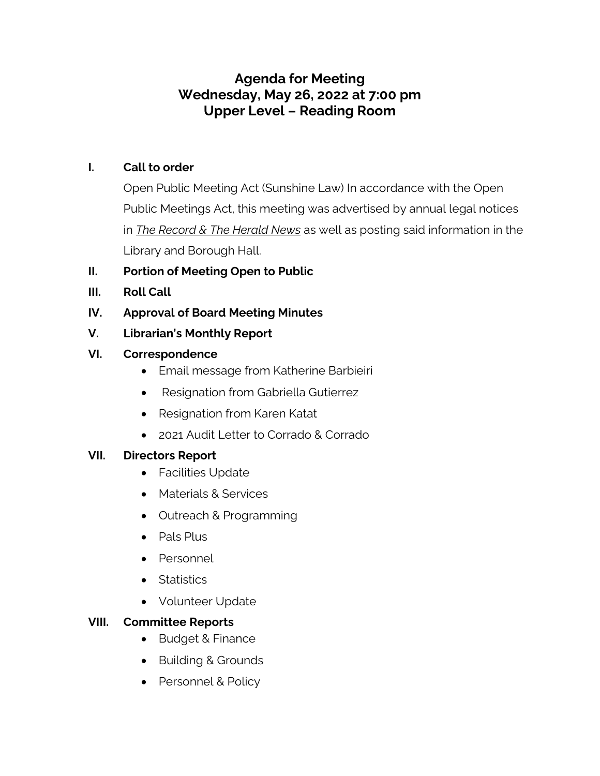# **Agenda for Meeting Wednesday, May 26, 2022 at 7:00 pm Upper Level – Reading Room**

#### **I. Call to order**

Open Public Meeting Act (Sunshine Law) In accordance with the Open Public Meetings Act, this meeting was advertised by annual legal notices in *The Record & The Herald News* as well as posting said information in the Library and Borough Hall.

## **II. Portion of Meeting Open to Public**

- **III. Roll Call**
- **IV. Approval of Board Meeting Minutes**
- **V. Librarian's Monthly Report**

#### **VI. Correspondence**

- Email message from Katherine Barbieiri
- Resignation from Gabriella Gutierrez
- Resignation from Karen Katat
- 2021 Audit Letter to Corrado & Corrado

#### **VII. Directors Report**

- Facilities Update
- Materials & Services
- Outreach & Programming
- Pals Plus
- Personnel
- Statistics
- Volunteer Update

## **VIII. Committee Reports**

- Budget & Finance
- Building & Grounds
- Personnel & Policy